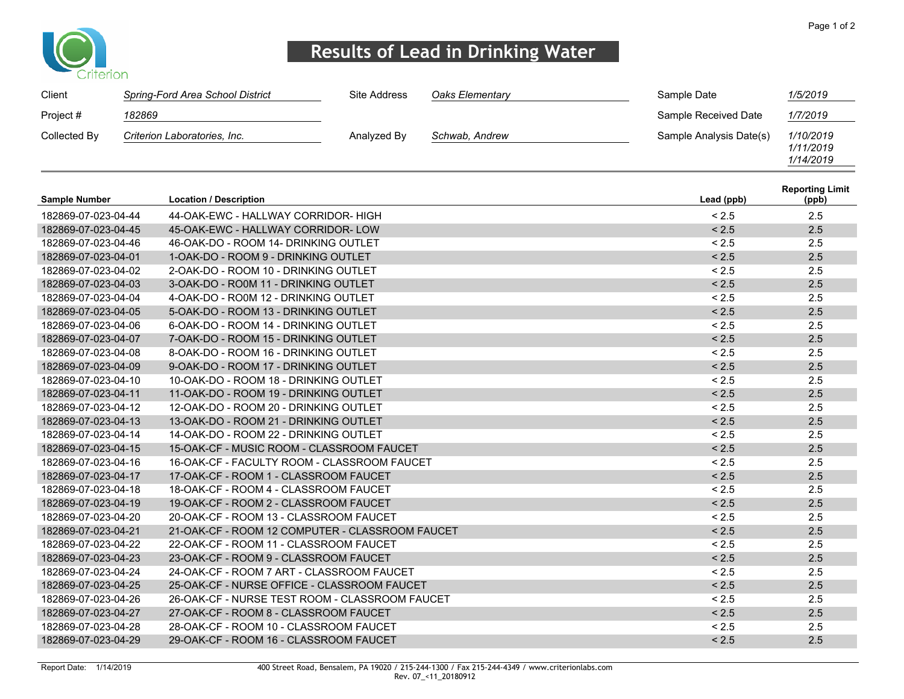

### **Results of Lead in Drinking Water**

| Client               |        | Spring-Ford Area School District                | Site Address | Oaks Elementary | Sample Date             | 1/5/2019                            |
|----------------------|--------|-------------------------------------------------|--------------|-----------------|-------------------------|-------------------------------------|
| Project #            | 182869 |                                                 |              |                 | Sample Received Date    | 1/7/2019                            |
| Collected By         |        | Criterion Laboratories, Inc.                    | Analyzed By  | Schwab, Andrew  | Sample Analysis Date(s) | 1/10/2019<br>1/11/2019<br>1/14/2019 |
| <b>Sample Number</b> |        | <b>Location / Description</b>                   |              |                 | Lead (ppb)              | <b>Reporting Limit</b><br>(ppb)     |
| 182869-07-023-04-44  |        | 44-OAK-EWC - HALLWAY CORRIDOR- HIGH             |              |                 | < 2.5                   | 2.5                                 |
| 182869-07-023-04-45  |        | 45-OAK-EWC - HALLWAY CORRIDOR-LOW               |              |                 | < 2.5                   | 2.5                                 |
| 182869-07-023-04-46  |        | 46-OAK-DO - ROOM 14- DRINKING OUTLET            |              |                 | < 2.5                   | 2.5                                 |
| 182869-07-023-04-01  |        | 1-OAK-DO - ROOM 9 - DRINKING OUTLET             |              |                 | < 2.5                   | 2.5                                 |
| 182869-07-023-04-02  |        | 2-OAK-DO - ROOM 10 - DRINKING OUTLET            |              |                 | < 2.5                   | 2.5                                 |
| 182869-07-023-04-03  |        | 3-OAK-DO - RO0M 11 - DRINKING OUTLET            |              |                 | < 2.5                   | 2.5                                 |
| 182869-07-023-04-04  |        | 4-OAK-DO - RO0M 12 - DRINKING OUTLET            |              |                 | < 2.5                   | 2.5                                 |
| 182869-07-023-04-05  |        | 5-OAK-DO - ROOM 13 - DRINKING OUTLET            |              |                 | < 2.5                   | 2.5                                 |
| 182869-07-023-04-06  |        | 6-OAK-DO - ROOM 14 - DRINKING OUTLET            |              |                 | < 2.5                   | 2.5                                 |
| 182869-07-023-04-07  |        | 7-OAK-DO - ROOM 15 - DRINKING OUTLET            |              |                 | < 2.5                   | 2.5                                 |
| 182869-07-023-04-08  |        | 8-OAK-DO - ROOM 16 - DRINKING OUTLET            |              |                 | < 2.5                   | 2.5                                 |
| 182869-07-023-04-09  |        | 9-OAK-DO - ROOM 17 - DRINKING OUTLET            |              |                 | < 2.5                   | 2.5                                 |
| 182869-07-023-04-10  |        | 10-OAK-DO - ROOM 18 - DRINKING OUTLET           |              |                 | < 2.5                   | 2.5                                 |
| 182869-07-023-04-11  |        | 11-OAK-DO - ROOM 19 - DRINKING OUTLET           |              |                 | < 2.5                   | 2.5                                 |
| 182869-07-023-04-12  |        | 12-OAK-DO - ROOM 20 - DRINKING OUTLET           |              |                 | < 2.5                   | 2.5                                 |
| 182869-07-023-04-13  |        | 13-OAK-DO - ROOM 21 - DRINKING OUTLET           |              |                 | < 2.5                   | 2.5                                 |
| 182869-07-023-04-14  |        | 14-OAK-DO - ROOM 22 - DRINKING OUTLET           |              |                 | < 2.5                   | 2.5                                 |
| 182869-07-023-04-15  |        | 15-OAK-CF - MUSIC ROOM - CLASSROOM FAUCET       |              |                 | < 2.5                   | 2.5                                 |
| 182869-07-023-04-16  |        | 16-OAK-CF - FACULTY ROOM - CLASSROOM FAUCET     |              |                 | < 2.5                   | 2.5                                 |
| 182869-07-023-04-17  |        | 17-OAK-CF - ROOM 1 - CLASSROOM FAUCET           |              |                 | < 2.5                   | 2.5                                 |
| 182869-07-023-04-18  |        | 18-OAK-CF - ROOM 4 - CLASSROOM FAUCET           |              |                 | < 2.5                   | 2.5                                 |
| 182869-07-023-04-19  |        | 19-OAK-CF - ROOM 2 - CLASSROOM FAUCET           |              |                 | < 2.5                   | 2.5                                 |
| 182869-07-023-04-20  |        | 20-OAK-CF - ROOM 13 - CLASSROOM FAUCET          |              |                 | < 2.5                   | 2.5                                 |
| 182869-07-023-04-21  |        | 21-OAK-CF - ROOM 12 COMPUTER - CLASSROOM FAUCET |              |                 | < 2.5                   | 2.5                                 |
| 182869-07-023-04-22  |        | 22-OAK-CF - ROOM 11 - CLASSROOM FAUCET          |              |                 | < 2.5                   | 2.5                                 |
| 182869-07-023-04-23  |        | 23-OAK-CF - ROOM 9 - CLASSROOM FAUCET           |              |                 | < 2.5                   | 2.5                                 |
| 182869-07-023-04-24  |        | 24-OAK-CF - ROOM 7 ART - CLASSROOM FAUCET       |              |                 | < 2.5                   | 2.5                                 |
| 182869-07-023-04-25  |        | 25-OAK-CF - NURSE OFFICE - CLASSROOM FAUCET     |              |                 | < 2.5                   | 2.5                                 |
| 182869-07-023-04-26  |        | 26-OAK-CF - NURSE TEST ROOM - CLASSROOM FAUCET  |              |                 | < 2.5                   | 2.5                                 |
| 182869-07-023-04-27  |        | 27-OAK-CF - ROOM 8 - CLASSROOM FAUCET           |              |                 | < 2.5                   | 2.5                                 |
| 182869-07-023-04-28  |        | 28-OAK-CF - ROOM 10 - CLASSROOM FAUCET          |              |                 | < 2.5                   | 2.5                                 |
| 182869-07-023-04-29  |        | 29-OAK-CF - ROOM 16 - CLASSROOM FAUCET          |              |                 | < 2.5                   | 2.5                                 |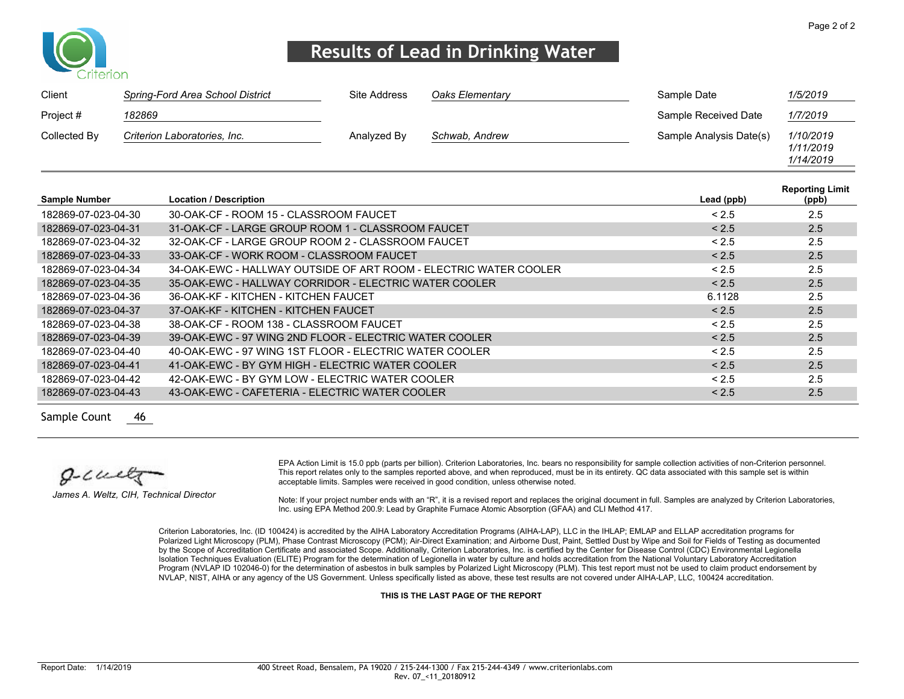

### **Results of Lead in Drinking Water**

| Client       | Spring-Ford Area School District | Site Address | Oaks Elementary | Sample Date             | 1/5/2019                            |
|--------------|----------------------------------|--------------|-----------------|-------------------------|-------------------------------------|
| Project #    | 182869                           |              |                 | Sample Received Date    | 1/7/2019                            |
| Collected By | Criterion Laboratories, Inc.     | Analyzed By  | Schwab, Andrew  | Sample Analysis Date(s) | 1/10/2019<br>1/11/2019<br>1/14/2019 |

| Lead (ppb) | <b>Reporting Limit</b><br>(ppb) |
|------------|---------------------------------|
| < 2.5      | 2.5                             |
| < 2.5      | 2.5                             |
| < 2.5      | 2.5                             |
| < 2.5      | 2.5                             |
| < 2.5      | 2.5                             |
| < 2.5      | 2.5                             |
| 6.1128     | 2.5                             |
| < 2.5      | 2.5                             |
| < 2.5      | 2.5                             |
| < 2.5      | 2.5                             |
| < 2.5      | 2.5                             |
| < 2.5      | 2.5                             |
| < 2.5      | 2.5                             |
| < 2.5      | 2.5                             |
|            |                                 |

Sample Count 46

 $0 - 1$ wett

*James A. Weltz, CIH, Technical Director*

EPA Action Limit is 15.0 ppb (parts per billion). Criterion Laboratories, Inc. bears no responsibility for sample collection activities of non-Criterion personnel. This report relates only to the samples reported above, and when reproduced, must be in its entirety. QC data associated with this sample set is within acceptable limits. Samples were received in good condition, unless otherwise noted.

Note: If your project number ends with an "R", it is a revised report and replaces the original document in full. Samples are analyzed by Criterion Laboratories, Inc. using EPA Method 200.9: Lead by Graphite Furnace Atomic Absorption (GFAA) and CLI Method 417.

Criterion Laboratories, Inc. (ID 100424) is accredited by the AIHA Laboratory Accreditation Programs (AIHA-LAP), LLC in the IHLAP; EMLAP and ELLAP accreditation programs for Polarized Light Microscopy (PLM), Phase Contrast Microscopy (PCM); Air-Direct Examination; and Airborne Dust, Paint, Settled Dust by Wipe and Soil for Fields of Testing as documented by the Scope of Accreditation Certificate and associated Scope. Additionally, Criterion Laboratories, Inc. is certified by the Center for Disease Control (CDC) Environmental Legionella Isolation Techniques Evaluation (ELITE) Program for the determination of Legionella in water by culture and holds accreditation from the National Voluntary Laboratory Accreditation Program (NVLAP ID 102046-0) for the determination of asbestos in bulk samples by Polarized Light Microscopy (PLM). This test report must not be used to claim product endorsement by NVLAP, NIST, AIHA or any agency of the US Government. Unless specifically listed as above, these test results are not covered under AIHA-LAP, LLC, 100424 accreditation.

**THIS IS THE LAST PAGE OF THE REPORT**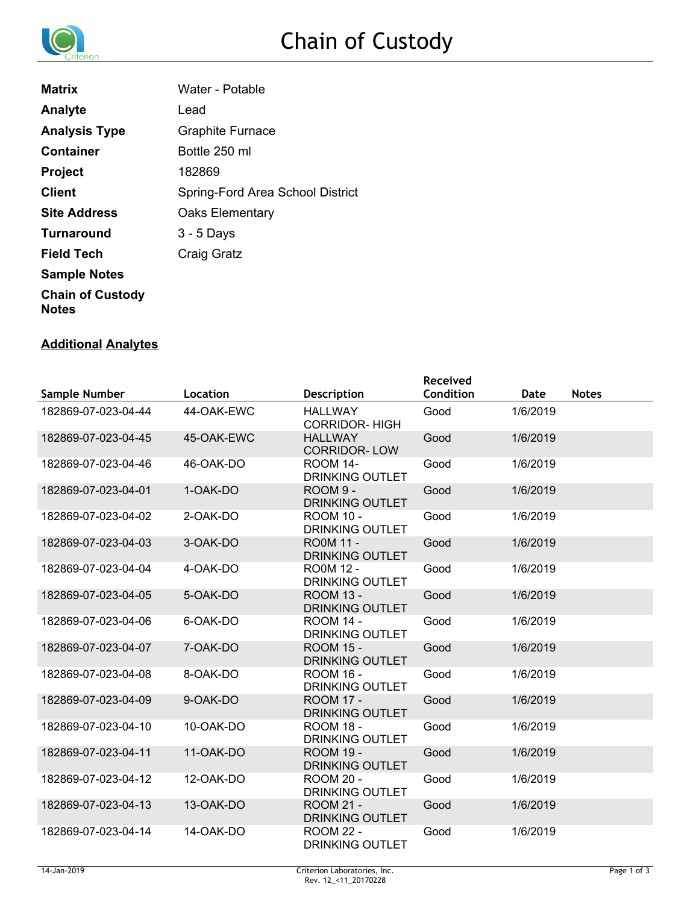

| <b>Matrix</b>                           | Water - Potable                  |
|-----------------------------------------|----------------------------------|
| Analyte                                 | Lead                             |
| <b>Analysis Type</b>                    | <b>Graphite Furnace</b>          |
| Container                               | Bottle 250 ml                    |
| <b>Project</b>                          | 182869                           |
| <b>Client</b>                           | Spring-Ford Area School District |
| <b>Site Address</b>                     | <b>Oaks Elementary</b>           |
| <b>Turnaround</b>                       | $3 - 5$ Days                     |
| <b>Field Tech</b>                       | Craig Gratz                      |
| <b>Sample Notes</b>                     |                                  |
| <b>Chain of Custody</b><br><b>Notes</b> |                                  |

#### **Additional Analytes**

|                     |            |                                            | <b>Received</b> |          |              |
|---------------------|------------|--------------------------------------------|-----------------|----------|--------------|
| Sample Number       | Location   | <b>Description</b>                         | Condition       | Date     | <b>Notes</b> |
| 182869-07-023-04-44 | 44-OAK-EWC | <b>HALLWAY</b><br><b>CORRIDOR-HIGH</b>     | Good            | 1/6/2019 |              |
| 182869-07-023-04-45 | 45-OAK-EWC | <b>HALLWAY</b><br><b>CORRIDOR-LOW</b>      | Good            | 1/6/2019 |              |
| 182869-07-023-04-46 | 46-OAK-DO  | <b>ROOM 14-</b><br><b>DRINKING OUTLET</b>  | Good            | 1/6/2019 |              |
| 182869-07-023-04-01 | 1-OAK-DO   | ROOM 9 -<br><b>DRINKING OUTLET</b>         | Good            | 1/6/2019 |              |
| 182869-07-023-04-02 | 2-OAK-DO   | <b>ROOM 10 -</b><br><b>DRINKING OUTLET</b> | Good            | 1/6/2019 |              |
| 182869-07-023-04-03 | 3-OAK-DO   | <b>RO0M 11 -</b><br><b>DRINKING OUTLET</b> | Good            | 1/6/2019 |              |
| 182869-07-023-04-04 | 4-OAK-DO   | <b>RO0M 12 -</b><br><b>DRINKING OUTLET</b> | Good            | 1/6/2019 |              |
| 182869-07-023-04-05 | 5-OAK-DO   | <b>ROOM 13 -</b><br><b>DRINKING OUTLET</b> | Good            | 1/6/2019 |              |
| 182869-07-023-04-06 | 6-OAK-DO   | <b>ROOM 14 -</b><br><b>DRINKING OUTLET</b> | Good            | 1/6/2019 |              |
| 182869-07-023-04-07 | 7-OAK-DO   | <b>ROOM 15 -</b><br><b>DRINKING OUTLET</b> | Good            | 1/6/2019 |              |
| 182869-07-023-04-08 | 8-OAK-DO   | <b>ROOM 16 -</b><br><b>DRINKING OUTLET</b> | Good            | 1/6/2019 |              |
| 182869-07-023-04-09 | 9-OAK-DO   | <b>ROOM 17 -</b><br><b>DRINKING OUTLET</b> | Good            | 1/6/2019 |              |
| 182869-07-023-04-10 | 10-OAK-DO  | <b>ROOM 18 -</b><br><b>DRINKING OUTLET</b> | Good            | 1/6/2019 |              |
| 182869-07-023-04-11 | 11-OAK-DO  | <b>ROOM 19 -</b><br><b>DRINKING OUTLET</b> | Good            | 1/6/2019 |              |
| 182869-07-023-04-12 | 12-OAK-DO  | <b>ROOM 20 -</b><br><b>DRINKING OUTLET</b> | Good            | 1/6/2019 |              |
| 182869-07-023-04-13 | 13-OAK-DO  | <b>ROOM 21 -</b><br><b>DRINKING OUTLET</b> | Good            | 1/6/2019 |              |
| 182869-07-023-04-14 | 14-OAK-DO  | <b>ROOM 22 -</b><br><b>DRINKING OUTLET</b> | Good            | 1/6/2019 |              |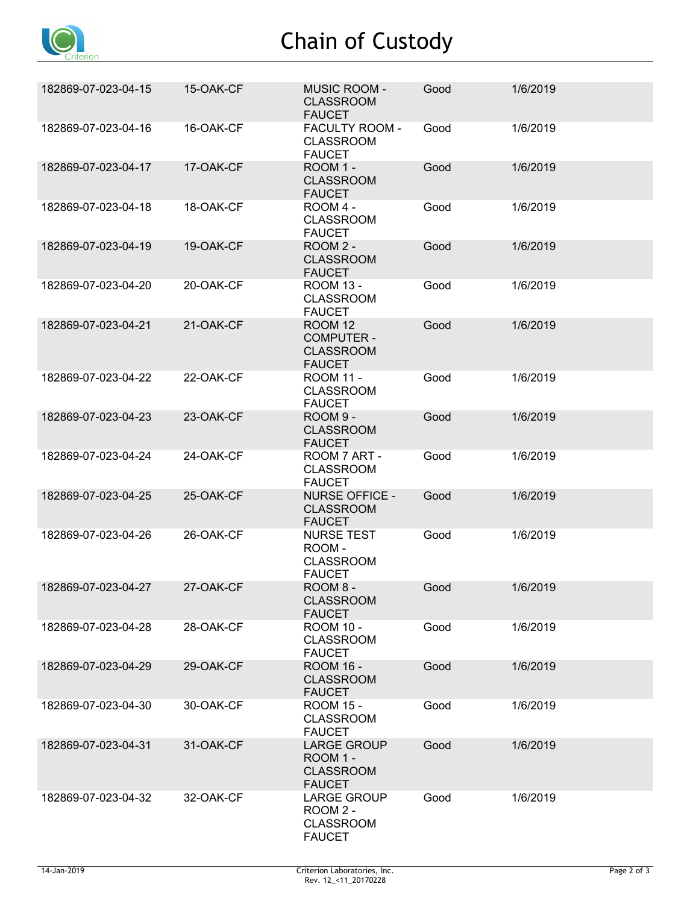

# Chain of Custody

| 182869-07-023-04-15 | 15-OAK-CF | <b>MUSIC ROOM -</b><br><b>CLASSROOM</b><br><b>FAUCET</b>                 | Good | 1/6/2019 |
|---------------------|-----------|--------------------------------------------------------------------------|------|----------|
| 182869-07-023-04-16 | 16-OAK-CF | FACULTY ROOM -<br><b>CLASSROOM</b><br><b>FAUCET</b>                      | Good | 1/6/2019 |
| 182869-07-023-04-17 | 17-OAK-CF | ROOM 1 -<br><b>CLASSROOM</b><br><b>FAUCET</b>                            | Good | 1/6/2019 |
| 182869-07-023-04-18 | 18-OAK-CF | ROOM 4 -<br><b>CLASSROOM</b><br><b>FAUCET</b>                            | Good | 1/6/2019 |
| 182869-07-023-04-19 | 19-OAK-CF | ROOM 2 -<br><b>CLASSROOM</b><br><b>FAUCET</b>                            | Good | 1/6/2019 |
| 182869-07-023-04-20 | 20-OAK-CF | <b>ROOM 13 -</b><br><b>CLASSROOM</b><br><b>FAUCET</b>                    | Good | 1/6/2019 |
| 182869-07-023-04-21 | 21-OAK-CF | <b>ROOM 12</b><br><b>COMPUTER -</b><br><b>CLASSROOM</b><br><b>FAUCET</b> | Good | 1/6/2019 |
| 182869-07-023-04-22 | 22-OAK-CF | <b>ROOM 11 -</b><br><b>CLASSROOM</b><br><b>FAUCET</b>                    | Good | 1/6/2019 |
| 182869-07-023-04-23 | 23-OAK-CF | ROOM 9 -<br><b>CLASSROOM</b><br><b>FAUCET</b>                            | Good | 1/6/2019 |
| 182869-07-023-04-24 | 24-OAK-CF | ROOM 7 ART -<br><b>CLASSROOM</b><br><b>FAUCET</b>                        | Good | 1/6/2019 |
| 182869-07-023-04-25 | 25-OAK-CF | <b>NURSE OFFICE -</b><br><b>CLASSROOM</b><br><b>FAUCET</b>               | Good | 1/6/2019 |
| 182869-07-023-04-26 | 26-OAK-CF | <b>NURSE TEST</b><br>ROOM-<br><b>CLASSROOM</b><br><b>FAUCET</b>          | Good | 1/6/2019 |
| 182869-07-023-04-27 | 27-OAK-CF | ROOM 8 -<br><b>CLASSROOM</b><br><b>FAUCET</b>                            | Good | 1/6/2019 |
| 182869-07-023-04-28 | 28-OAK-CF | <b>ROOM 10 -</b><br><b>CLASSROOM</b><br><b>FAUCET</b>                    | Good | 1/6/2019 |
| 182869-07-023-04-29 | 29-OAK-CF | <b>ROOM 16 -</b><br><b>CLASSROOM</b><br><b>FAUCET</b>                    | Good | 1/6/2019 |
| 182869-07-023-04-30 | 30-OAK-CF | <b>ROOM 15 -</b><br><b>CLASSROOM</b><br><b>FAUCET</b>                    | Good | 1/6/2019 |
| 182869-07-023-04-31 | 31-OAK-CF | <b>LARGE GROUP</b><br>ROOM 1 -<br><b>CLASSROOM</b><br><b>FAUCET</b>      | Good | 1/6/2019 |
| 182869-07-023-04-32 | 32-OAK-CF | <b>LARGE GROUP</b><br>ROOM 2 -<br><b>CLASSROOM</b><br><b>FAUCET</b>      | Good | 1/6/2019 |